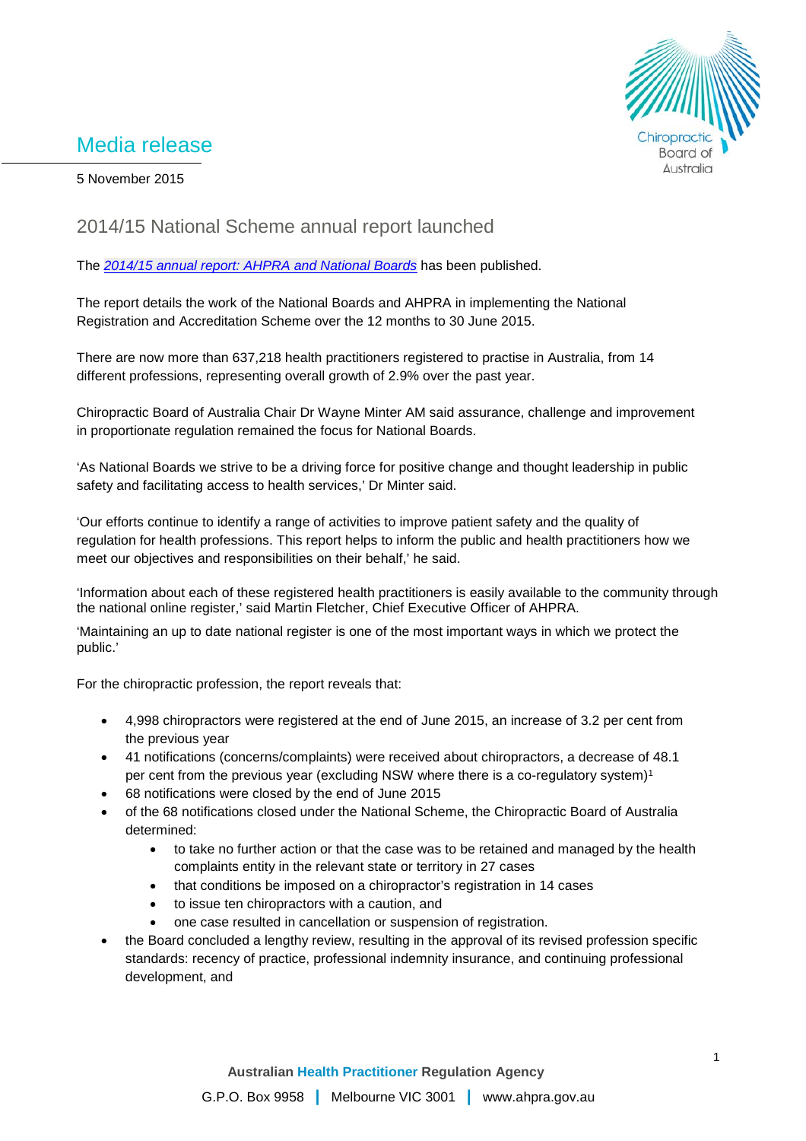## Media release



5 November 2015

## 2014/15 National Scheme annual report launched

The *[2014/15 annual report: AHPRA and National Boards](http://www.ahpra.gov.au/documents/default.aspx?record=WD15%2f18217&dbid=AP&chksum=kmpRE6MIo4jNzP3IqyoaqQ%3d%3d)* has been published.

The report details the work of the National Boards and AHPRA in implementing the National Registration and Accreditation Scheme over the 12 months to 30 June 2015.

There are now more than 637,218 health practitioners registered to practise in Australia, from 14 different professions, representing overall growth of 2.9% over the past year.

Chiropractic Board of Australia Chair Dr Wayne Minter AM said assurance, challenge and improvement in proportionate regulation remained the focus for National Boards.

'As National Boards we strive to be a driving force for positive change and thought leadership in public safety and facilitating access to health services,' Dr Minter said.

'Our efforts continue to identify a range of activities to improve patient safety and the quality of regulation for health professions. This report helps to inform the public and health practitioners how we meet our objectives and responsibilities on their behalf,' he said.

'Information about each of these registered health practitioners is easily available to the community through the national online register,' said Martin Fletcher, Chief Executive Officer of AHPRA.

'Maintaining an up to date national register is one of the most important ways in which we protect the public.'

For the chiropractic profession, the report reveals that:

- 4,998 chiropractors were registered at the end of June 2015, an increase of 3.2 per cent from the previous year
- 41 notifications (concerns/complaints) were received about chiropractors, a decrease of 48.1 per cent from the previous year (excluding NSW where there is a co-regulatory system)1
- 68 notifications were closed by the end of June 2015
- of the 68 notifications closed under the National Scheme, the Chiropractic Board of Australia determined:
	- to take no further action or that the case was to be retained and managed by the health complaints entity in the relevant state or territory in 27 cases
	- that conditions be imposed on a chiropractor's registration in 14 cases
	- to issue ten chiropractors with a caution, and
	- one case resulted in cancellation or suspension of registration.
- the Board concluded a lengthy review, resulting in the approval of its revised profession specific standards: recency of practice, professional indemnity insurance, and continuing professional development, and